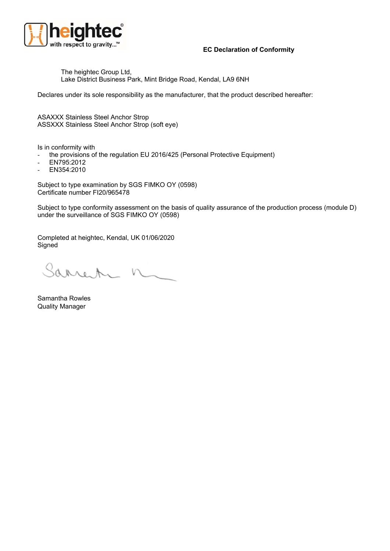

## **EC Declaration of Conformity**

The heightec Group Ltd, Lake District Business Park, Mint Bridge Road, Kendal, LA9 6NH

Declares under its sole responsibility as the manufacturer, that the product described hereafter:

ASAXXX Stainless Steel Anchor Strop ASSXXX Stainless Steel Anchor Strop (soft eye)

Is in conformity with

- the provisions of the regulation EU 2016/425 (Personal Protective Equipment)
- EN795:2012
- EN354:2010

Subject to type examination by SGS FIMKO OY (0598) Certificate number FI20/965478

Subject to type conformity assessment on the basis of quality assurance of the production process (module D) under the surveillance of SGS FIMKO OY (0598)

Completed at heightec, Kendal, UK 01/06/2020 **Signed** 

Sarrente n

Samantha Rowles Quality Manager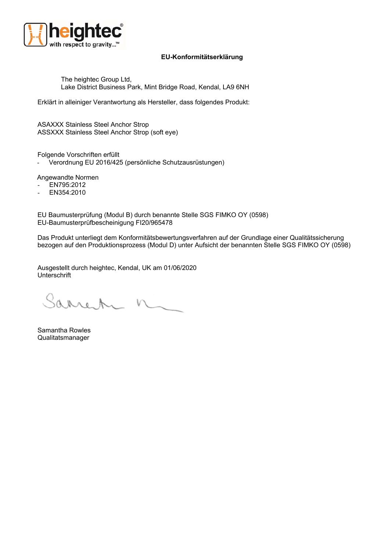

## **EU-Konformitätserklärung**

The heightec Group Ltd, Lake District Business Park, Mint Bridge Road, Kendal, LA9 6NH

Erklärt in alleiniger Verantwortung als Hersteller, dass folgendes Produkt:

ASAXXX Stainless Steel Anchor Strop ASSXXX Stainless Steel Anchor Strop (soft eye)

Folgende Vorschriften erfüllt

- Verordnung EU 2016/425 (persönliche Schutzausrüstungen)

Angewandte Normen

- EN795:2012
- EN354:2010

EU Baumusterprüfung (Modul B) durch benannte Stelle SGS FIMKO OY (0598) EU-Baumusterprüfbescheinigung FI20/965478

Das Produkt unterliegt dem Konformitätsbewertungsverfahren auf der Grundlage einer Qualitätssicherung bezogen auf den Produktionsprozess (Modul D) unter Aufsicht der benannten Stelle SGS FIMKO OY (0598)

Ausgestellt durch heightec, Kendal, UK am 01/06/2020 Unterschrift

Sarren n

Samantha Rowles Qualitatsmanager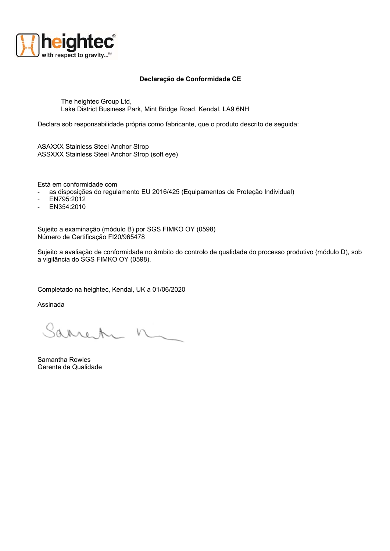

## **Declaração de Conformidade CE**

The heightec Group Ltd, Lake District Business Park, Mint Bridge Road, Kendal, LA9 6NH

Declara sob responsabilidade própria como fabricante, que o produto descrito de seguida:

ASAXXX Stainless Steel Anchor Strop ASSXXX Stainless Steel Anchor Strop (soft eye)

Está em conformidade com

- as disposições do regulamento EU 2016/425 (Equipamentos de Proteção Individual)

- EN795:2012
- EN354:2010

Sujeito a examinação (módulo B) por SGS FIMKO OY (0598) Número de Certificação FI20/965478

Sujeito a avaliação de conformidade no âmbito do controlo de qualidade do processo produtivo (módulo D), sob a vigilância do SGS FIMKO OY (0598).

Completado na heightec, Kendal, UK a 01/06/2020

Assinada

Sarren n

Samantha Rowles Gerente de Qualidade